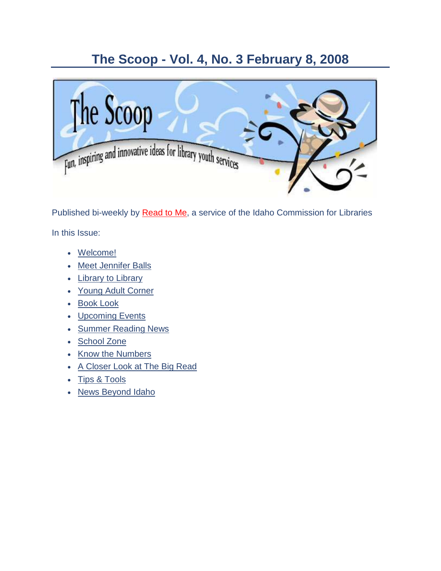### **The Scoop - Vol. 4, No. 3 February 8, 2008**



Published bi-weekly by [Read to Me,](http://164.165.30.103/icfl/readtome) a service of the Idaho Commission for Libraries In this Issue:

- [Welcome!](#page-1-0)
- [Meet Jennifer Balls](#page-1-1)
- [Library to Library](#page-3-0)
- [Young Adult Corner](#page-3-1)
- [Book Look](#page-4-0)
- [Upcoming Events](#page-6-0)
- [Summer Reading News](#page-8-0)
- [School Zone](#page-10-0)
- [Know the Numbers](#page-11-0)
- [A Closer Look at The Big Read](#page-12-0)
- Tips [& Tools](#page-14-0)
- [News Beyond Idaho](#page-15-0)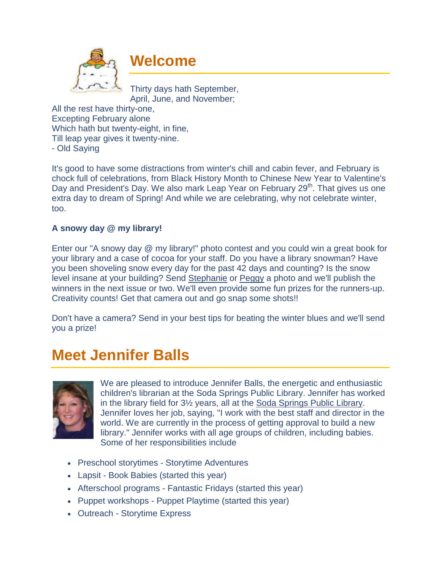<span id="page-1-0"></span>

### **Welcome**

Thirty days hath September, April, June, and November;

All the rest have thirty-one, Excepting February alone Which hath but twenty-eight, in fine, Till leap year gives it twenty-nine. - Old Saying

It's good to have some distractions from winter's chill and cabin fever, and February is chock full of celebrations, from Black History Month to Chinese New Year to Valentine's Day and President's Day. We also mark Leap Year on February 29<sup>th</sup>. That gives us one extra day to dream of Spring! And while we are celebrating, why not celebrate winter, too.

#### **A snowy day @ my library!**

Enter our "A snowy day @ my library!" photo contest and you could win a great book for your library and a case of cocoa for your staff. Do you have a library snowman? Have you been shoveling snow every day for the past 42 days and counting? Is the snow level insane at your building? Send [Stephanie](http://164.165.30.103/icfl/contact/Stephanie+Bailey-White+-+Projects+Coordinator) or [Peggy](http://164.165.30.103/icfl/contact/Peggy+McClendon+-+Reading+and+Literacy+Coordinator) a photo and we'll publish the winners in the next issue or two. We'll even provide some fun prizes for the runners-up. Creativity counts! Get that camera out and go snap some shots!!

Don't have a camera? Send in your best tips for beating the winter blues and we'll send you a prize!

### <span id="page-1-1"></span>**Meet Jennifer Balls**



We are pleased to introduce Jennifer Balls, the energetic and enthusiastic children's librarian at the Soda Springs Public Library. Jennifer has worked in the library field for 3½ years, all at the [Soda Springs Public Library.](http://soda.lili.org/) Jennifer loves her job, saying, "I work with the best staff and director in the world. We are currently in the process of getting approval to build a new library." Jennifer works with all age groups of children, including babies. Some of her responsibilities include

- Preschool storytimes Storytime Adventures
- Lapsit Book Babies (started this year)
- Afterschool programs Fantastic Fridays (started this year)
- Puppet workshops Puppet Playtime (started this year)
- Outreach Storytime Express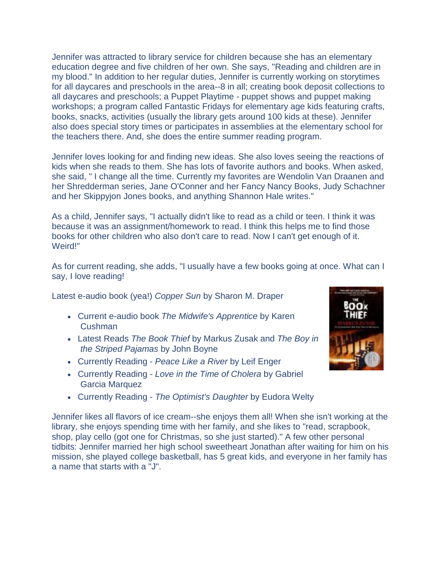Jennifer was attracted to library service for children because she has an elementary education degree and five children of her own. She says, "Reading and children are in my blood." In addition to her regular duties, Jennifer is currently working on storytimes for all daycares and preschools in the area--8 in all; creating book deposit collections to all daycares and preschools; a Puppet Playtime - puppet shows and puppet making workshops; a program called Fantastic Fridays for elementary age kids featuring crafts, books, snacks, activities (usually the library gets around 100 kids at these). Jennifer also does special story times or participates in assemblies at the elementary school for the teachers there. And, she does the entire summer reading program.

Jennifer loves looking for and finding new ideas. She also loves seeing the reactions of kids when she reads to them. She has lots of favorite authors and books. When asked, she said, " I change all the time. Currently my favorites are Wendolin Van Draanen and her Shredderman series, Jane O'Conner and her Fancy Nancy Books, Judy Schachner and her Skippyjon Jones books, and anything Shannon Hale writes."

As a child, Jennifer says, "I actually didn't like to read as a child or teen. I think it was because it was an assignment/homework to read. I think this helps me to find those books for other children who also don't care to read. Now I can't get enough of it. Weird!"

As for current reading, she adds, "I usually have a few books going at once. What can I say, I love reading!

Latest e-audio book (yea!) *Copper Sun* by Sharon M. Draper

- Current e-audio book *The Midwife's Apprentice* by Karen Cushman
- Latest Reads *The Book Thief* by Markus Zusak and *The Boy in the Striped Pajamas* by John Boyne
- Currently Reading *Peace Like a River* by Leif Enger
- Currently Reading *Love in the Time of Cholera* by Gabriel Garcia Marquez
- Currently Reading *The Optimist's Daughter* by Eudora Welty

Jennifer likes all flavors of ice cream--she enjoys them all! When she isn't working at the library, she enjoys spending time with her family, and she likes to "read, scrapbook, shop, play cello (got one for Christmas, so she just started)." A few other personal tidbits: Jennifer married her high school sweetheart Jonathan after waiting for him on his mission, she played college basketball, has 5 great kids, and everyone in her family has a name that starts with a "J".

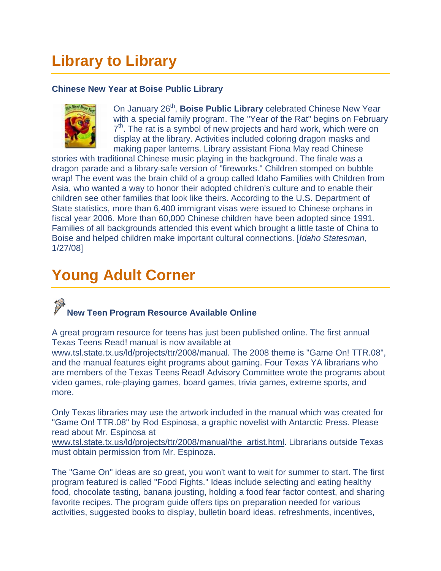## <span id="page-3-0"></span>**Library to Library**

#### **Chinese New Year at Boise Public Library**



On January 26<sup>th</sup>, **Boise Public Library** celebrated Chinese New Year with a special family program. The "Year of the Rat" begins on February  $7<sup>th</sup>$ . The rat is a symbol of new projects and hard work, which were on display at the library. Activities included coloring dragon masks and making paper lanterns. Library assistant Fiona May read Chinese

stories with traditional Chinese music playing in the background. The finale was a dragon parade and a library-safe version of "fireworks." Children stomped on bubble wrap! The event was the brain child of a group called Idaho Families with Children from Asia, who wanted a way to honor their adopted children's culture and to enable their children see other families that look like theirs. According to the U.S. Department of State statistics, more than 6,400 immigrant visas were issued to Chinese orphans in fiscal year 2006. More than 60,000 Chinese children have been adopted since 1991. Families of all backgrounds attended this event which brought a little taste of China to Boise and helped children make important cultural connections. [*Idaho Statesman*, 1/27/08]

### <span id="page-3-1"></span>**Young Adult Corner**

### **New Teen Program Resource Available Online**

A great program resource for teens has just been published online. The first annual Texas Teens Read! manual is now available at

[www.tsl.state.tx.us/ld/projects/ttr/2008/manual.](http://www.tsl.state.tx.us/ld/projects/ttr/2008/manual) The 2008 theme is "Game On! TTR.08", and the manual features eight programs about gaming. Four Texas YA librarians who are members of the Texas Teens Read! Advisory Committee wrote the programs about video games, role-playing games, board games, trivia games, extreme sports, and more.

Only Texas libraries may use the artwork included in the manual which was created for "Game On! TTR.08" by Rod Espinosa, a graphic novelist with Antarctic Press. Please read about Mr. Espinosa at

[www.tsl.state.tx.us/ld/projects/ttr/2008/manual/the\\_artist.html.](http://www.tsl.state.tx.us/ld/projects/ttr/2008/manual/the_artist.html) Librarians outside Texas must obtain permission from Mr. Espinoza.

The "Game On" ideas are so great, you won't want to wait for summer to start. The first program featured is called "Food Fights." Ideas include selecting and eating healthy food, chocolate tasting, banana jousting, holding a food fear factor contest, and sharing favorite recipes. The program guide offers tips on preparation needed for various activities, suggested books to display, bulletin board ideas, refreshments, incentives,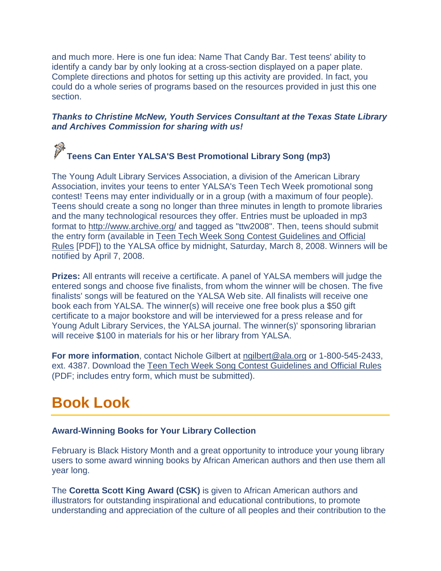and much more. Here is one fun idea: Name That Candy Bar. Test teens' ability to identify a candy bar by only looking at a cross-section displayed on a paper plate. Complete directions and photos for setting up this activity are provided. In fact, you could do a whole series of programs based on the resources provided in just this one section.

#### *Thanks to Christine McNew, Youth Services Consultant at the Texas State Library and Archives Commission for sharing with us!*

#### $\ddot{\psi}$ **Teens Can Enter YALSA'S Best Promotional Library Song (mp3)**

The Young Adult Library Services Association, a division of the American Library Association, invites your teens to enter YALSA's Teen Tech Week promotional song contest! Teens may enter individually or in a group (with a maximum of four people). Teens should create a song no longer than three minutes in length to promote libraries and the many technological resources they offer. Entries must be uploaded in mp3 format to<http://www.archive.org/> and tagged as "ttw2008". Then, teens should submit the entry form (available in [Teen Tech Week Song Contest Guidelines and Official](http://www.ala.org/ala/yalsa/teentechweek/ttw08/contests/TTW_SongContest_Final.pdf)  [Rules](http://www.ala.org/ala/yalsa/teentechweek/ttw08/contests/TTW_SongContest_Final.pdf) [PDF]) to the YALSA office by midnight, Saturday, March 8, 2008. Winners will be notified by April 7, 2008.

**Prizes:** All entrants will receive a certificate. A panel of YALSA members will judge the entered songs and choose five finalists, from whom the winner will be chosen. The five finalists' songs will be featured on the YALSA Web site. All finalists will receive one book each from YALSA. The winner(s) will receive one free book plus a \$50 gift certificate to a major bookstore and will be interviewed for a press release and for Young Adult Library Services, the YALSA journal. The winner(s)' sponsoring librarian will receive \$100 in materials for his or her library from YALSA.

**For more information**, contact Nichole Gilbert at [ngilbert@ala.org](mailto:ngilbert@ala.org) or 1-800-545-2433, ext. 4387. Download the [Teen Tech Week Song Contest Guidelines and Official Rules](http://www.ala.org/ala/yalsa/teentechweek/ttw08/contests/TTW_SongContest_Final.pdf) (PDF; includes entry form, which must be submitted).

### <span id="page-4-0"></span>**Book Look**

#### **Award-Winning Books for Your Library Collection**

February is Black History Month and a great opportunity to introduce your young library users to some award winning books by African American authors and then use them all year long.

The **Coretta Scott King Award (CSK)** is given to African American authors and illustrators for outstanding inspirational and educational contributions, to promote understanding and appreciation of the culture of all peoples and their contribution to the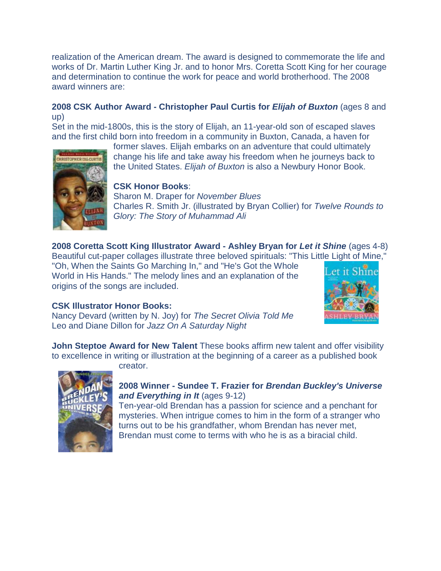realization of the American dream. The award is designed to commemorate the life and works of Dr. Martin Luther King Jr. and to honor Mrs. Coretta Scott King for her courage and determination to continue the work for peace and world brotherhood. The 2008 award winners are:

#### **2008 CSK Author Award - Christopher Paul Curtis for** *Elijah of Buxton* (ages 8 and up)

Set in the mid-1800s, this is the story of Elijah, an 11-year-old son of escaped slaves and the first child born into freedom in a community in Buxton, Canada, a haven for



former slaves. Elijah embarks on an adventure that could ultimately change his life and take away his freedom when he journeys back to the United States. *Elijah of Buxton* is also a Newbury Honor Book.

#### **CSK Honor Books**:

Sharon M. Draper for *November Blues* Charles R. Smith Jr. (illustrated by Bryan Collier) for *Twelve Rounds to Glory: The Story of Muhammad Ali*

**2008 Coretta Scott King Illustrator Award - Ashley Bryan for** *Let it Shine* (ages 4-8) Beautiful cut-paper collages illustrate three beloved spirituals: "This Little Light of Mine,"

"Oh, When the Saints Go Marching In," and "He's Got the Whole World in His Hands." The melody lines and an explanation of the origins of the songs are included.



#### **CSK Illustrator Honor Books:**

Nancy Devard (written by N. Joy) for *The Secret Olivia Told Me* Leo and Diane Dillon for *Jazz On A Saturday Night*

**John Steptoe Award for New Talent** These books affirm new talent and offer visibility to excellence in writing or illustration at the beginning of a career as a published book

creator.



#### **2008 Winner - Sundee T. Frazier for** *Brendan Buckley's Universe and Everything in It* (ages 9-12)

Ten-year-old Brendan has a passion for science and a penchant for mysteries. When intrigue comes to him in the form of a stranger who turns out to be his grandfather, whom Brendan has never met, Brendan must come to terms with who he is as a biracial child.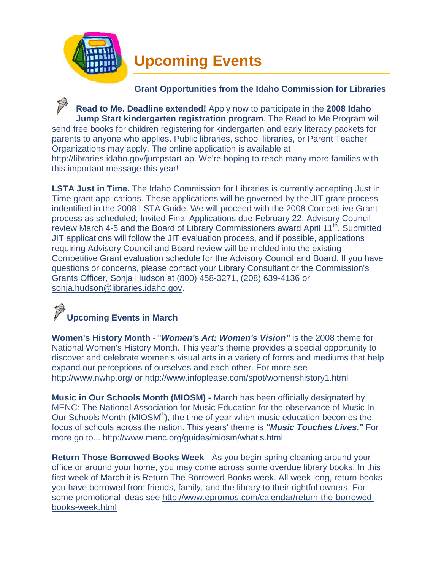<span id="page-6-0"></span>

#### **Grant Opportunities from the Idaho Commission for Libraries**

**Read to Me. Deadline extended!** Apply now to participate in the **2008 Idaho Jump Start kindergarten registration program**. The Read to Me Program will send free books for children registering for kindergarten and early literacy packets for parents to anyone who applies. Public libraries, school libraries, or Parent Teacher Organizations may apply. The online application is available at [http://libraries.idaho.gov/jumpstart-ap.](http://164.165.30.103/icfl/jumpstart-ap) We're hoping to reach many more families with this important message this year!

**LSTA Just in Time.** The Idaho Commission for Libraries is currently accepting Just in Time grant applications. These applications will be governed by the JIT grant process indentified in the 2008 LSTA Guide. We will proceed with the 2008 Competitive Grant process as scheduled; Invited Final Applications due February 22, Advisory Council review March 4-5 and the Board of Library Commissioners award April 11<sup>th</sup>. Submitted JIT applications will follow the JIT evaluation process, and if possible, applications requiring Advisory Council and Board review will be molded into the existing Competitive Grant evaluation schedule for the Advisory Council and Board. If you have questions or concerns, please contact your Library Consultant or the Commission's Grants Officer, Sonja Hudson at (800) 458-3271, (208) 639-4136 or [sonja.hudson@libraries.idaho.gov.](mailto:sonja.hudson@libraries.idaho.gov)

## **Upcoming Events in March**

**Women's History Month** - "*Women'***s** *Art: Women's Vision"* is the 2008 theme for National Women's History Month. This year's theme provides a special opportunity to discover and celebrate women's visual arts in a variety of forms and mediums that help expand our perceptions of ourselves and each other. For more see <http://www.nwhp.org/> or<http://www.infoplease.com/spot/womenshistory1.html>

**Music in Our Schools Month (MIOSM) -** March has been officially designated by MENC: The National Association for Music Education for the observance of Music In Our Schools Month (MIOSM®), the time of year when music education becomes the focus of schools across the nation. This years' theme is *"Music Touches Lives."* For more go to...<http://www.menc.org/guides/miosm/whatis.html>

**Return Those Borrowed Books Week** - As you begin spring cleaning around your office or around your home, you may come across some overdue library books. In this first week of March it is Return The Borrowed Books week. All week long, return books you have borrowed from friends, family, and the library to their rightful owners. For some promotional ideas see [http://www.epromos.com/calendar/return-the-borrowed](http://www.epromos.com/calendar/return-the-borrowed-books-week.html)[books-week.html](http://www.epromos.com/calendar/return-the-borrowed-books-week.html)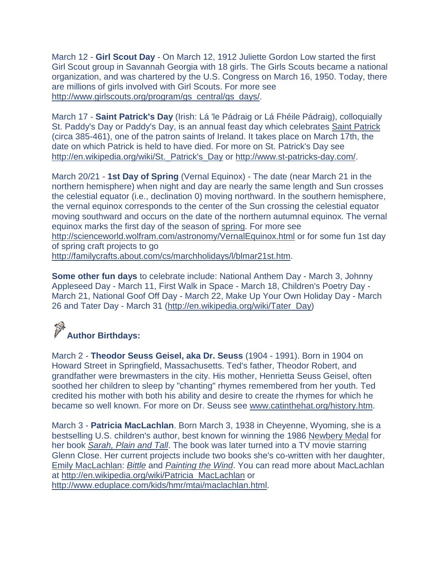March 12 - **Girl Scout Day** - On March 12, 1912 Juliette Gordon Low started the first Girl Scout group in Savannah Georgia with 18 girls. The Girls Scouts became a national organization, and was chartered by the U.S. Congress on March 16, 1950. Today, there are millions of girls involved with Girl Scouts. For more see [http://www.girlscouts.org/program/gs\\_central/gs\\_days/.](http://www.girlscouts.org/program/gs_central/gs_days/)

March 17 - **Saint Patrick's Day** (Irish: Lá 'le Pádraig or Lá Fhéile Pádraig), colloquially St. Paddy's Day or Paddy's Day, is an annual feast day which celebrates [Saint Patrick](http://en.wikipedia.org/wiki/Saint_Patrick) (circa 385-461), one of the patron saints of Ireland. It takes place on March 17th, the date on which Patrick is held to have died. For more on St. Patrick's Day see [http://en.wikipedia.org/wiki/St.\\_Patrick's\\_Day](http://en.wikipedia.org/wiki/St._Patrick) or [http://www.st-patricks-day.com/.](http://www.st-patricks-day.com/)

March 20/21 - **1st Day of Spring** (Vernal Equinox) - The date (near March 21 in the northern hemisphere) when night and day are nearly the same length and Sun crosses the celestial equator (i.e., declination 0) moving northward. In the southern hemisphere, the vernal equinox corresponds to the center of the Sun crossing the celestial equator moving southward and occurs on the date of the northern autumnal equinox. The vernal equinox marks the first day of the season of [spring.](http://scienceworld.wolfram.com/astronomy/Spring.html) For more see <http://scienceworld.wolfram.com/astronomy/VernalEquinox.html> or for some fun 1st day of spring craft projects to go [http://familycrafts.about.com/cs/marchholidays/l/blmar21st.htm.](http://familycrafts.about.com/cs/marchholidays/l/blmar21st.htm)

**Some other fun days** to celebrate include: National Anthem Day - March 3, Johnny Appleseed Day - March 11, First Walk in Space - March 18, Children's Poetry Day - March 21, National Goof Off Day - March 22, Make Up Your Own Holiday Day - March 26 and Tater Day - March 31 [\(http://en.wikipedia.org/wiki/Tater\\_Day\)](http://en.wikipedia.org/wiki/Tater_Day)

# **Author Birthdays:**

March 2 - **Theodor Seuss Geisel, aka Dr. Seuss** (1904 - 1991). Born in 1904 on Howard Street in Springfield, Massachusetts. Ted's father, Theodor Robert, and grandfather were brewmasters in the city. His mother, Henrietta Seuss Geisel, often soothed her children to sleep by "chanting" rhymes remembered from her youth. Ted credited his mother with both his ability and desire to create the rhymes for which he became so well known. For more on Dr. Seuss see [www.catinthehat.org/history.htm.](http://www.catinthehat.org/history.htm)

March 3 - **Patricia MacLachlan**. Born March 3, 1938 in Cheyenne, Wyoming, she is a bestselling U.S. children's author, best known for winning the 1986 [Newbery Medal](http://en.wikipedia.org/wiki/Newbery_Medal) for her book *[Sarah, Plain and Tall](http://en.wikipedia.org/wiki/Sarah%2C_Plain_and_Tall)*. The book was later turned into a TV movie starring Glenn Close. Her current projects include two books she's co-written with her daughter, [Emily MacLachlan:](http://en.wikipedia.org/w/index.php?title=Emily_MacLachlan&action=edit) *[Bittle](http://en.wikipedia.org/w/index.php?title=Bittle&action=edit)* and *[Painting the Wind](http://en.wikipedia.org/w/index.php?title=Painting_the_Wind&action=edit)*. You can read more about MacLachlan at [http://en.wikipedia.org/wiki/Patricia\\_MacLachlan](http://en.wikipedia.org/wiki/Patricia_MacLachlan) or [http://www.eduplace.com/kids/hmr/mtai/maclachlan.html.](http://www.eduplace.com/kids/hmr/mtai/maclachlan.html)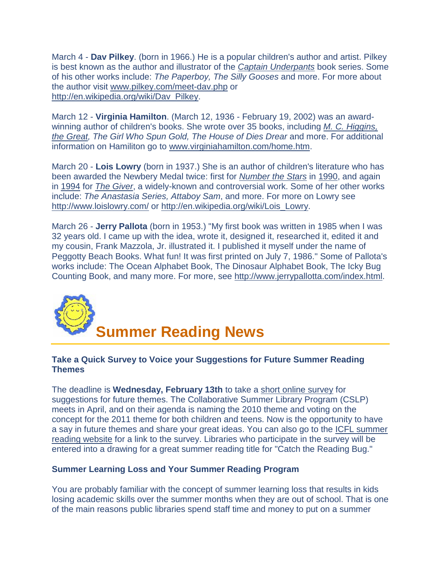March 4 - **Dav Pilkey**. (born in 1966.) He is a popular children's author and artist. Pilkey is best known as the author and illustrator of the *[Captain Underpants](http://en.wikipedia.org/wiki/Captain_Underpants)* book series. Some of his other works include: *The Paperboy, The Silly Gooses* and more. For more about the author visit [www.pilkey.com/meet-dav.php](http://www.pilkey.com/meet-dav.php) or [http://en.wikipedia.org/wiki/Dav\\_Pilkey.](http://en.wikipedia.org/wiki/Dav_Pilkey)

March 12 - **Virginia Hamilton**. (March 12, 1936 - February 19, 2002) was an awardwinning author of children's books. She wrote over 35 books, including *[M. C. Higgins,](http://en.wikipedia.org/wiki/M._C._Higgins%2C_the_Great)  [the Great,](http://en.wikipedia.org/wiki/M._C._Higgins%2C_the_Great) The Girl Who Spun Gold, The House of Dies Drear* and more. For additional information on Hamiliton go to [www.virginiahamilton.com/home.htm.](http://www.virginiahamilton.com/home.htm)

March 20 - **Lois Lowry** (born in 1937.) She is an author of children's literature who has been awarded the Newbery Medal twice: first for *[Number the Stars](http://en.wikipedia.org/wiki/Number_the_Stars)* in [1990,](http://en.wikipedia.org/wiki/1990) and again in [1994](http://en.wikipedia.org/wiki/1994) for *[The Giver](http://en.wikipedia.org/wiki/The_Giver)*, a widely-known and controversial work. Some of her other works include: *The Anastasia Series, Attaboy Sam*, and more. For more on Lowry see <http://www.loislowry.com/> or [http://en.wikipedia.org/wiki/Lois\\_Lowry.](http://en.wikipedia.org/wiki/Lois_Lowry)

March 26 - **Jerry Pallota** (born in 1953.) "My first book was written in 1985 when I was 32 years old. I came up with the idea, wrote it, designed it, researched it, edited it and my cousin, Frank Mazzola, Jr. illustrated it. I published it myself under the name of Peggotty Beach Books. What fun! It was first printed on July 7, 1986." Some of Pallota's works include: The Ocean Alphabet Book, The Dinosaur Alphabet Book, The Icky Bug Counting Book, and many more. For more, see [http://www.jerrypallotta.com/index.html.](http://www.jerrypallotta.com/index.html)

<span id="page-8-0"></span>

#### **Take a Quick Survey to Voice your Suggestions for Future Summer Reading Themes**

The deadline is **Wednesday, February 13th** to take a [short online survey](http://www.surveymonkey.com/s.aspx?sm=JvpeZIrXTpWJ9axd_2fmbMqQ_3d_3d) for suggestions for future themes. The Collaborative Summer Library Program (CSLP) meets in April, and on their agenda is naming the 2010 theme and voting on the concept for the 2011 theme for both children and teens. Now is the opportunity to have a say in future themes and share your great ideas. You can also go to the [ICFL summer](http://164.165.30.103/icfl/2008summer-reading)  [reading website](http://164.165.30.103/icfl/2008summer-reading) for a link to the survey. Libraries who participate in the survey will be entered into a drawing for a great summer reading title for "Catch the Reading Bug."

#### **Summer Learning Loss and Your Summer Reading Program**

You are probably familiar with the concept of summer learning loss that results in kids losing academic skills over the summer months when they are out of school. That is one of the main reasons public libraries spend staff time and money to put on a summer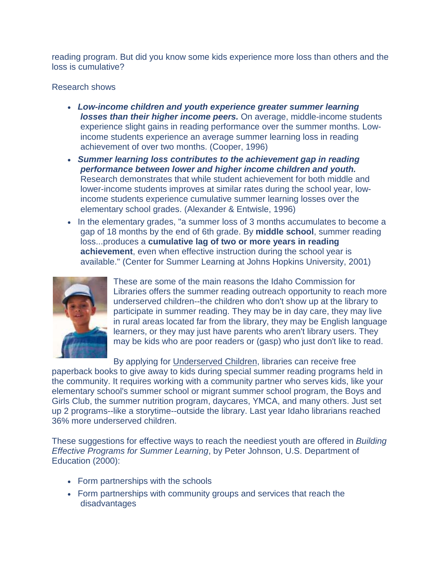reading program. But did you know some kids experience more loss than others and the loss is cumulative?

#### Research shows

- *Low-income children and youth experience greater summer learning losses than their higher income peers.* On average, middle-income students experience slight gains in reading performance over the summer months. Lowincome students experience an average summer learning loss in reading achievement of over two months. (Cooper, 1996)
- *Summer learning loss contributes to the achievement gap in reading performance between lower and higher income children and youth.*  Research demonstrates that while student achievement for both middle and lower-income students improves at similar rates during the school year, lowincome students experience cumulative summer learning losses over the elementary school grades. (Alexander & Entwisle, 1996)
- In the elementary grades, "a summer loss of 3 months accumulates to become a gap of 18 months by the end of 6th grade. By **middle school**, summer reading loss...produces a **cumulative lag of two or more years in reading achievement**, even when effective instruction during the school year is available." (Center for Summer Learning at Johns Hopkins University, 2001)



These are some of the main reasons the Idaho Commission for Libraries offers the summer reading outreach opportunity to reach more underserved children--the children who don't show up at the library to participate in summer reading. They may be in day care, they may live in rural areas located far from the library, they may be English language learners, or they may just have parents who aren't library users. They may be kids who are poor readers or (gasp) who just don't like to read.

By applying for [Underserved Children,](http://164.165.30.103/icfl/files/default/UnderservedChildren.pdf) libraries can receive free

paperback books to give away to kids during special summer reading programs held in the community. It requires working with a community partner who serves kids, like your elementary school's summer school or migrant summer school program, the Boys and Girls Club, the summer nutrition program, daycares, YMCA, and many others. Just set up 2 programs--like a storytime--outside the library. Last year Idaho librarians reached 36% more underserved children.

These suggestions for effective ways to reach the neediest youth are offered in *Building Effective Programs for Summer Learning*, by Peter Johnson, U.S. Department of Education (2000):

- Form partnerships with the schools
- Form partnerships with community groups and services that reach the disadvantages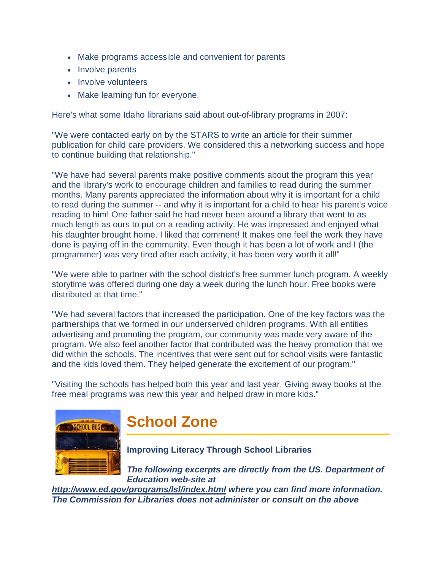- <span id="page-10-0"></span>• Make programs accessible and convenient for parents
- Involve parents
- Involve volunteers
- Make learning fun for everyone.

Here's what some Idaho librarians said about out-of-library programs in 2007:

"We were contacted early on by the STARS to write an article for their summer publication for child care providers. We considered this a networking success and hope to continue building that relationship."

"We have had several parents make positive comments about the program this year and the library's work to encourage children and families to read during the summer months. Many parents appreciated the information about why it is important for a child to read during the summer -- and why it is important for a child to hear his parent's voice reading to him! One father said he had never been around a library that went to as much length as ours to put on a reading activity. He was impressed and enjoyed what his daughter brought home. I liked that comment! It makes one feel the work they have done is paying off in the community. Even though it has been a lot of work and I (the programmer) was very tired after each activity, it has been very worth it all!"

"We were able to partner with the school district's free summer lunch program. A weekly storytime was offered during one day a week during the lunch hour. Free books were distributed at that time."

"We had several factors that increased the participation. One of the key factors was the partnerships that we formed in our underserved children programs. With all entities advertising and promoting the program, our community was made very aware of the program. We also feel another factor that contributed was the heavy promotion that we did within the schools. The incentives that were sent out for school visits were fantastic and the kids loved them. They helped generate the excitement of our program."

"Visiting the schools has helped both this year and last year. Giving away books at the free meal programs was new this year and helped draw in more kids."



### **School Zone**

**Improving Literacy Through School Libraries** 

*The following excerpts are directly from the US. Department of Education web-site at* 

*<http://www.ed.gov/programs/lsl/index.html> where you can find more information. The Commission for Libraries does not administer or consult on the above*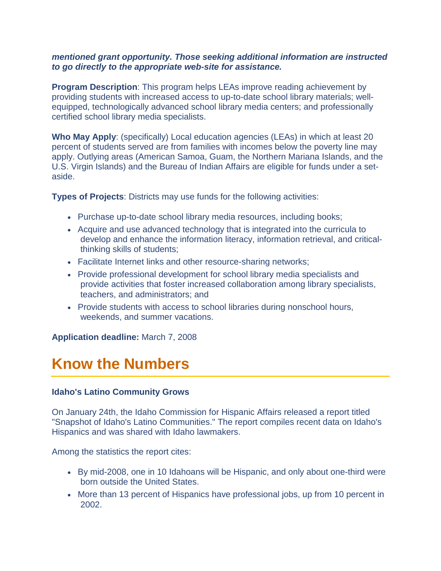#### *mentioned grant opportunity. Those seeking additional information are instructed to go directly to the appropriate web-site for assistance.*

**Program Description**: This program helps LEAs improve reading achievement by providing students with increased access to up-to-date school library materials; wellequipped, technologically advanced school library media centers; and professionally certified school library media specialists.

**Who May Apply**: (specifically) Local education agencies (LEAs) in which at least 20 percent of students served are from families with incomes below the poverty line may apply. Outlying areas (American Samoa, Guam, the Northern Mariana Islands, and the U.S. Virgin Islands) and the Bureau of Indian Affairs are eligible for funds under a setaside.

**Types of Projects**: Districts may use funds for the following activities:

- Purchase up-to-date school library media resources, including books;
- Acquire and use advanced technology that is integrated into the curricula to develop and enhance the information literacy, information retrieval, and criticalthinking skills of students;
- Facilitate Internet links and other resource-sharing networks;
- Provide professional development for school library media specialists and provide activities that foster increased collaboration among library specialists, teachers, and administrators; and
- Provide students with access to school libraries during nonschool hours, weekends, and summer vacations.

**Application deadline:** March 7, 2008

### <span id="page-11-0"></span>**Know the Numbers**

#### **Idaho's Latino Community Grows**

On January 24th, the Idaho Commission for Hispanic Affairs released a report titled "Snapshot of Idaho's Latino Communities." The report compiles recent data on Idaho's Hispanics and was shared with Idaho lawmakers.

Among the statistics the report cites:

- By mid-2008, one in 10 Idahoans will be Hispanic, and only about one-third were born outside the United States.
- More than 13 percent of Hispanics have professional jobs, up from 10 percent in 2002.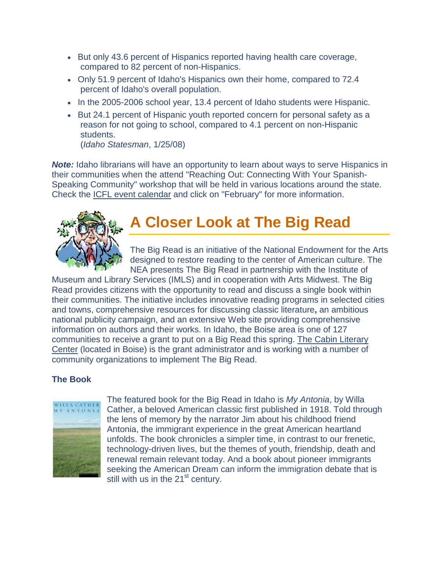- <span id="page-12-0"></span>• But only 43.6 percent of Hispanics reported having health care coverage, compared to 82 percent of non-Hispanics.
- Only 51.9 percent of Idaho's Hispanics own their home, compared to 72.4 percent of Idaho's overall population.
- In the 2005-2006 school year, 13.4 percent of Idaho students were Hispanic.
- But 24.1 percent of Hispanic youth reported concern for personal safety as a reason for not going to school, compared to 4.1 percent on non-Hispanic students. (*Idaho Statesman*, 1/25/08)

*Note:* Idaho librarians will have an opportunity to learn about ways to serve Hispanics in their communities when the attend "Reaching Out: Connecting With Your Spanish-Speaking Community" workshop that will be held in various locations around the state. Check the [ICFL event calendar](http://164.165.30.103/icfl/event) and click on "February" for more information.



### **A Closer Look at The Big Read**

The Big Read is an initiative of the National Endowment for the Arts designed to restore reading to the center of American culture. The NEA presents The Big Read in partnership with the Institute of

Museum and Library Services (IMLS) and in cooperation with Arts Midwest. The Big Read provides citizens with the opportunity to read and discuss a single book within their communities. The initiative includes innovative reading programs in selected cities and towns, comprehensive resources for discussing classic literature**,** an ambitious national publicity campaign, and an extensive Web site providing comprehensive information on authors and their works. In Idaho, the Boise area is one of 127 communities to receive a grant to put on a Big Read this spring. [The Cabin Literary](http://www.thecabinidaho.org/)  [Center](http://www.thecabinidaho.org/) (located in Boise) is the grant administrator and is working with a number of community organizations to implement The Big Read.

#### **The Book**



The featured book for the Big Read in Idaho is *My Antonia*, by Willa Cather, a beloved American classic first published in 1918. Told through the lens of memory by the narrator Jim about his childhood friend Antonia, the immigrant experience in the great American heartland unfolds. The book chronicles a simpler time, in contrast to our frenetic, technology-driven lives, but the themes of youth, friendship, death and renewal remain relevant today. And a book about pioneer immigrants seeking the American Dream can inform the immigration debate that is still with us in the 21<sup>st</sup> century.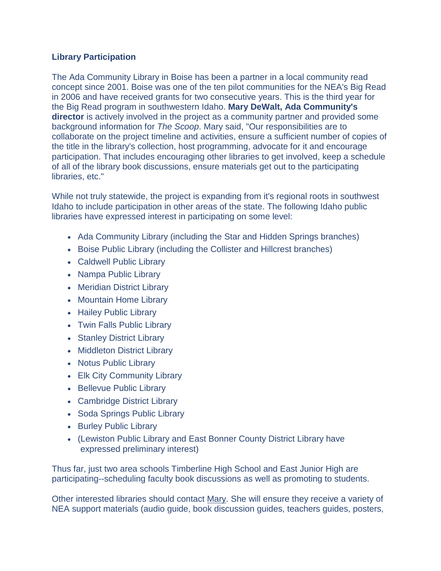#### **Library Participation**

The Ada Community Library in Boise has been a partner in a local community read concept since 2001. Boise was one of the ten pilot communities for the NEA's Big Read in 2006 and have received grants for two consecutive years. This is the third year for the Big Read program in southwestern Idaho. **Mary DeWalt, Ada Community's director** is actively involved in the project as a community partner and provided some background information for *The Scoop*. Mary said, "Our responsibilities are to collaborate on the project timeline and activities, ensure a sufficient number of copies of the title in the library's collection, host programming, advocate for it and encourage participation. That includes encouraging other libraries to get involved, keep a schedule of all of the library book discussions, ensure materials get out to the participating libraries, etc."

While not truly statewide, the project is expanding from it's regional roots in southwest Idaho to include participation in other areas of the state. The following Idaho public libraries have expressed interest in participating on some level:

- Ada Community Library (including the Star and Hidden Springs branches)
- Boise Public Library (including the Collister and Hillcrest branches)
- Caldwell Public Library
- Nampa Public Library
- Meridian District Library
- Mountain Home Library
- Hailey Public Library
- Twin Falls Public Library
- Stanley District Library
- Middleton District Library
- Notus Public Library
- Elk City Community Library
- Bellevue Public Library
- Cambridge District Library
- Soda Springs Public Library
- Burley Public Library
- (Lewiston Public Library and East Bonner County District Library have expressed preliminary interest)

Thus far, just two area schools Timberline High School and East Junior High are participating--scheduling faculty book discussions as well as promoting to students.

Other interested libraries should contact [Mary.](mailto:mdewalt@adalib.org) She will ensure they receive a variety of NEA support materials (audio guide, book discussion guides, teachers guides, posters,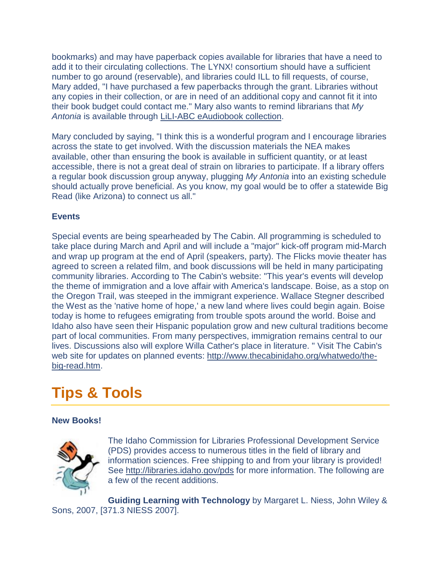bookmarks) and may have paperback copies available for libraries that have a need to add it to their circulating collections. The LYNX! consortium should have a sufficient number to go around (reservable), and libraries could ILL to fill requests, of course, Mary added, "I have purchased a few paperbacks through the grant. Libraries without any copies in their collection, or are in need of an additional copy and cannot fit it into their book budget could contact me." Mary also wants to remind librarians that *My Antonia* is available through [LiLI-ABC eAudiobook collection.](http://www.lili.org/portal/index.php)

Mary concluded by saying, "I think this is a wonderful program and I encourage libraries across the state to get involved. With the discussion materials the NEA makes available, other than ensuring the book is available in sufficient quantity, or at least accessible, there is not a great deal of strain on libraries to participate. If a library offers a regular book discussion group anyway, plugging *My Antonia* into an existing schedule should actually prove beneficial. As you know, my goal would be to offer a statewide Big Read (like Arizona) to connect us all."

#### **Events**

Special events are being spearheaded by The Cabin. All programming is scheduled to take place during March and April and will include a "major" kick-off program mid-March and wrap up program at the end of April (speakers, party). The Flicks movie theater has agreed to screen a related film, and book discussions will be held in many participating community libraries. According to The Cabin's website: "This year's events will develop the theme of immigration and a love affair with America's landscape. Boise, as a stop on the Oregon Trail, was steeped in the immigrant experience. Wallace Stegner described the West as the 'native home of hope,' a new land where lives could begin again. Boise today is home to refugees emigrating from trouble spots around the world. Boise and Idaho also have seen their Hispanic population grow and new cultural traditions become part of local communities. From many perspectives, immigration remains central to our lives. Discussions also will explore Willa Cather's place in literature. " Visit The Cabin's web site for updates on planned events: [http://www.thecabinidaho.org/whatwedo/the](http://www.thecabinidaho.org/whatwedo/the-big-read.htm)[big-read.htm.](http://www.thecabinidaho.org/whatwedo/the-big-read.htm)

### <span id="page-14-0"></span>**Tips & Tools**

#### **New Books!**



The Idaho Commission for Libraries Professional Development Service (PDS) provides access to numerous titles in the field of library and information sciences. Free shipping to and from your library is provided! See [http://libraries.idaho.gov/pds](http://164.165.30.103/icfl/pds) for more information. The following are a few of the recent additions.

**Guiding Learning with Technology** by Margaret L. Niess, John Wiley & Sons, 2007, [371.3 NIESS 2007].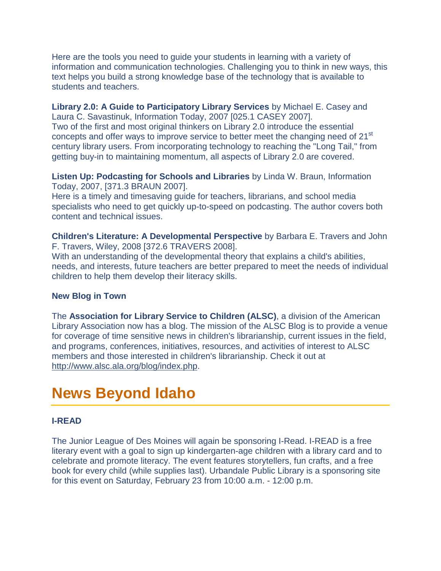Here are the tools you need to guide your students in learning with a variety of information and communication technologies. Challenging you to think in new ways, this text helps you build a strong knowledge base of the technology that is available to students and teachers.

**Library 2.0: A Guide to Participatory Library Services** by Michael E. Casey and Laura C. Savastinuk, Information Today, 2007 [025.1 CASEY 2007]. Two of the first and most original thinkers on Library 2.0 introduce the essential concepts and offer ways to improve service to better meet the changing need of 21<sup>st</sup> century library users. From incorporating technology to reaching the "Long Tail," from getting buy-in to maintaining momentum, all aspects of Library 2.0 are covered.

**Listen Up: Podcasting for Schools and Libraries** by Linda W. Braun, Information Today, 2007, [371.3 BRAUN 2007].

Here is a timely and timesaving guide for teachers, librarians, and school media specialists who need to get quickly up-to-speed on podcasting. The author covers both content and technical issues.

**Children's Literature: A Developmental Perspective** by Barbara E. Travers and John F. Travers, Wiley, 2008 [372.6 TRAVERS 2008].

With an understanding of the developmental theory that explains a child's abilities, needs, and interests, future teachers are better prepared to meet the needs of individual children to help them develop their literacy skills.

#### **New Blog in Town**

The **Association for Library Service to Children (ALSC)**, a division of the American Library Association now has a blog. The mission of the ALSC Blog is to provide a venue for coverage of time sensitive news in children's librarianship, current issues in the field, and programs, conferences, initiatives, resources, and activities of interest to ALSC members and those interested in children's librarianship. Check it out at [http://www.alsc.ala.org/blog/index.php.](http://www.alsc.ala.org/blog/index.php)

### <span id="page-15-0"></span>**News Beyond Idaho**

#### **I-READ**

The Junior League of Des Moines will again be sponsoring I-Read. I-READ is a free literary event with a goal to sign up kindergarten-age children with a library card and to celebrate and promote literacy. The event features storytellers, fun crafts, and a free book for every child (while supplies last). Urbandale Public Library is a sponsoring site for this event on Saturday, February 23 from 10:00 a.m. - 12:00 p.m.